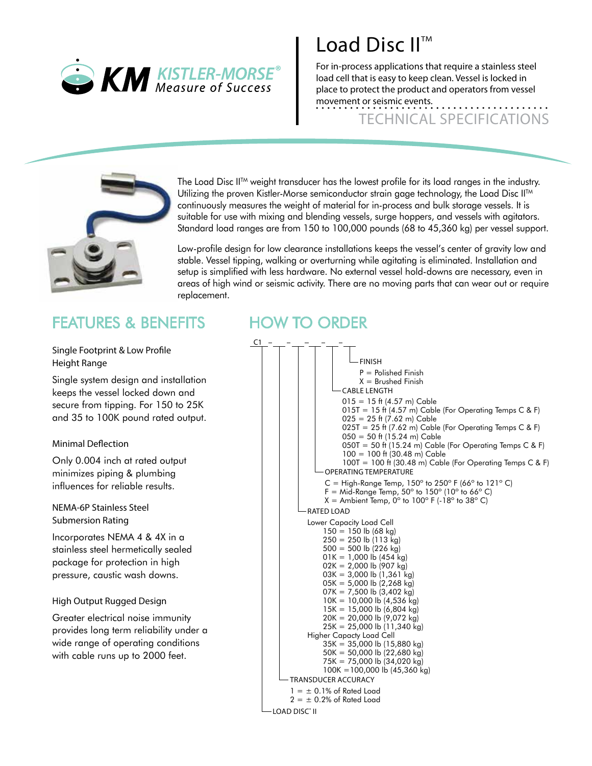

# $\overline{\phantom{a}}$  Load Disc II<sup>TM</sup>

For in-process applications that require a stainless steel load cell that is easy to keep clean. Vessel is locked in place to protect the product and operators from vessel movement or seismic events.

TECHNICAL SPECIFICATIONS



The Load Disc II<sup>TM</sup> weight transducer has the lowest profile for its load ranges in the industry. Utilizing the proven Kistler-Morse semiconductor strain gage technology, the Load Disc II<sup>TM</sup> continuously measures the weight of material for in-process and bulk storage vessels. It is suitable for use with mixing and blending vessels, surge hoppers, and vessels with agitators. Standard load ranges are from 150 to 100,000 pounds (68 to 45,360 kg) per vessel support.

Low-profile design for low clearance installations keeps the vessel's center of gravity low and stable. Vessel tipping, walking or overturning while agitating is eliminated. Installation and setup is simplified with less hardware. No external vessel hold-downs are necessary, even in areas of high wind or seismic activity. There are no moving parts that can wear out or require replacement.

### FEATURES & BENEFITS

Single Footprint & Low Profile Height Range

Single system design and installation keeps the vessel locked down and secure from tipping. For 150 to 25K and 35 to 100K pound rated output.

### Minimal Deflection

Only 0.004 inch at rated output minimizes piping & plumbing influences for reliable results.

NEMA-6P Stainless Steel Submersion Rating

Incorporates NEMA 4 & 4X in a stainless steel hermetically sealed package for protection in high pressure, caustic wash downs.

### High Output Rugged Design

Greater electrical noise immunity provides long term reliability under a wide range of operating conditions with cable runs up to 2000 feet.

### HOW TO ORDER